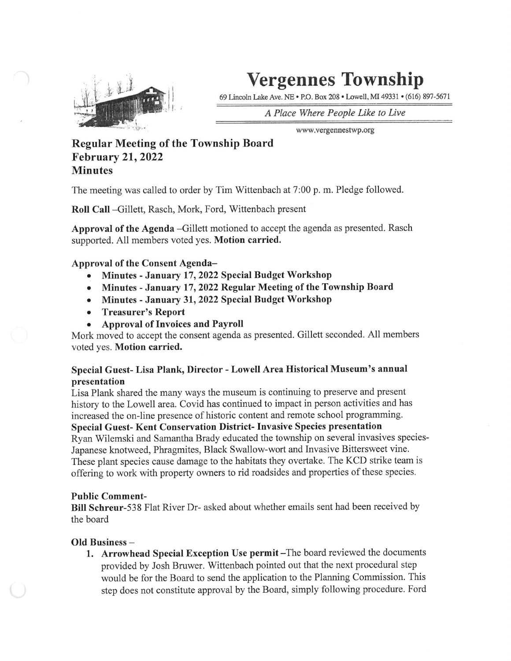

# Vergennes Township

69 Lincoln Lake Ave. NE • P.O. Box 208 • Lowell, Ml 49331' (616) 897-5671

A Place Where People Like to Live

www.vergennestwp .org

# Regular Meeting of the Township Board February 21,2022 **Minutes**

The meeting was called to order by Tim Wittenbach at 7:00 p. m. Pledge followed.

Roll Call -Gillett, Rasch, Mork, Ford, Wittenbach present

Approval of the Agenda -Gillett motioned to accept the agenda as presented. Rasch supported. All members voted yes. Motion carried.

Approval of the Consent Agenda-

- Minutes January 17, 2022 Special Budget Workshop
- Minutes January 17, 2022 Regular Meeting of the Township Board  $\bullet$
- Minutes January 31, 2022 Special Budget Workshop  $\bullet$
- Treasurer's Report  $\bullet$
- Approval of Invoices and Payroll

Mork moved to accept the consent agenda as presented. Gillett seconded. All members voted yes. Motion carried.

### Special Guest- Lisa Plank, Director - Lowell Area Historical Museum's annual presentation

Lisa Plank shared the many ways the museum is continuing to preserve and present history to the Lowell area. Covid has continued to impact in person activities and has increased the on-line presence of historic content and remote school programming.

Special Guest- Kent Conservation District- Invasive Species presentation

Ryan Wilemski and Samantha Brady educated the township on several invasives species-Japanese knotweed, Phragmites, Black Swallow-wort and Invasive Bittersweet vine. These plant species cause damage to the habitats they overtake. The KCD strike team is offering to work with property owners to rid roadsides and properties of these species.

## **Public Comment-**

Bill Schreur-538 Flat River Dr- asked about whether emails sent had been received by the board

### Old Business -

 $\left( \begin{array}{c} \end{array} \right)$ 

1. Arrowhead Special Exception Use permit -The board reviewed the documents provided by Josh Bruwer. Wittenbach pointed out that the next procedural step would be for the Board to send the application to the Planning Commission. This step does not constitute approval by the Board, simply following procedure. Ford